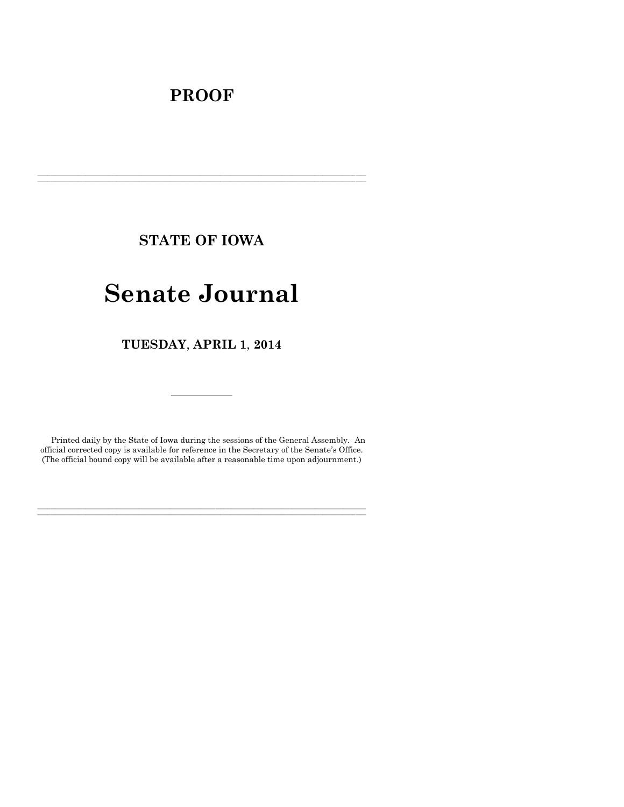# **PROOF**

**STATE OF IOWA**

**\_\_\_\_\_\_\_\_\_\_\_\_\_\_\_\_\_\_\_\_\_\_\_\_\_\_\_\_\_\_\_\_\_\_\_\_\_\_\_\_\_\_\_\_\_\_\_\_\_\_\_\_\_\_\_\_\_\_\_\_\_\_\_\_\_\_\_\_\_\_\_\_\_\_\_\_\_\_\_\_\_\_\_\_\_\_\_\_\_\_\_\_\_\_\_\_\_\_\_\_\_\_\_\_\_\_\_\_\_\_\_\_\_\_\_\_\_\_\_\_\_\_\_\_\_\_\_\_\_ \_\_\_\_\_\_\_\_\_\_\_\_\_\_\_\_\_\_\_\_\_\_\_\_\_\_\_\_\_\_\_\_\_\_\_\_\_\_\_\_\_\_\_\_\_\_\_\_\_\_\_\_\_\_\_\_\_\_\_\_\_\_\_\_\_\_\_\_\_\_\_\_\_\_\_\_\_\_\_\_\_\_\_\_\_\_\_\_\_\_\_\_\_\_\_\_\_\_\_\_\_\_\_\_\_\_\_\_\_\_\_\_\_\_\_\_\_\_\_\_\_\_\_\_\_\_\_\_\_**

# **Senate Journal**

**TUESDAY**, **APRIL 1**, **2014**

Printed daily by the State of Iowa during the sessions of the General Assembly. An official corrected copy is available for reference in the Secretary of the Senate's Office. (The official bound copy will be available after a reasonable time upon adjournment.)

**\_\_\_\_\_\_\_\_\_\_\_\_\_\_\_\_\_\_\_\_\_\_\_\_\_\_\_\_\_\_\_\_\_\_\_\_\_\_\_\_\_\_\_\_\_\_\_\_\_\_\_\_\_\_\_\_\_\_\_\_\_\_\_\_\_\_\_\_\_\_\_\_\_\_\_\_\_\_\_\_\_\_\_\_\_\_\_\_\_\_\_\_\_\_\_\_\_\_\_\_\_\_\_\_\_\_\_\_\_\_\_\_\_\_\_\_\_\_\_\_\_\_\_\_\_\_\_\_\_ \_\_\_\_\_\_\_\_\_\_\_\_\_\_\_\_\_\_\_\_\_\_\_\_\_\_\_\_\_\_\_\_\_\_\_\_\_\_\_\_\_\_\_\_\_\_\_\_\_\_\_\_\_\_\_\_\_\_\_\_\_\_\_\_\_\_\_\_\_\_\_\_\_\_\_\_\_\_\_\_\_\_\_\_\_\_\_\_\_\_\_\_\_\_\_\_\_\_\_\_\_\_\_\_\_\_\_\_\_\_\_\_\_\_\_\_\_\_\_\_\_\_\_\_\_\_\_\_\_**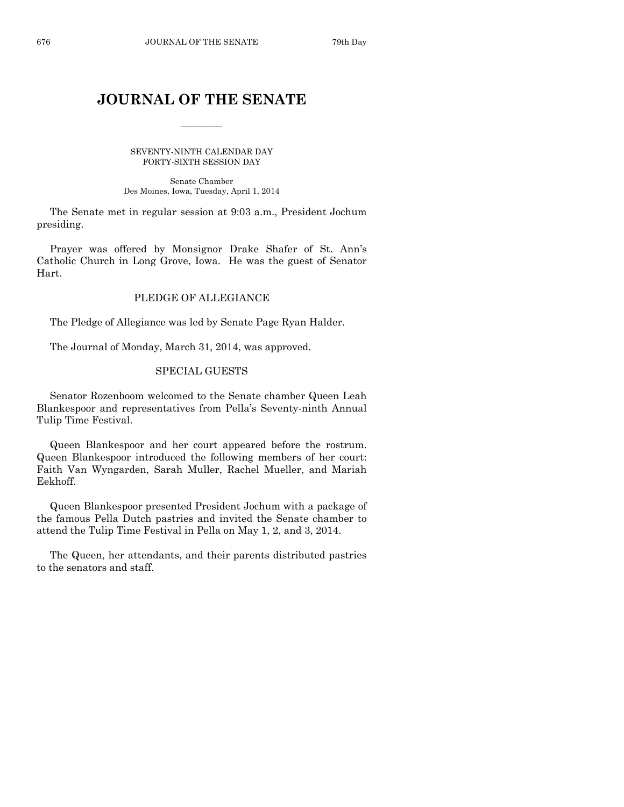# **JOURNAL OF THE SENATE**

 $\frac{1}{2}$ 

SEVENTY-NINTH CALENDAR DAY FORTY-SIXTH SESSION DAY

Senate Chamber Des Moines, Iowa, Tuesday, April 1, 2014

The Senate met in regular session at 9:03 a.m., President Jochum presiding.

Prayer was offered by Monsignor Drake Shafer of St. Ann's Catholic Church in Long Grove, Iowa. He was the guest of Senator Hart.

# PLEDGE OF ALLEGIANCE

The Pledge of Allegiance was led by Senate Page Ryan Halder.

The Journal of Monday, March 31, 2014, was approved.

# SPECIAL GUESTS

Senator Rozenboom welcomed to the Senate chamber Queen Leah Blankespoor and representatives from Pella's Seventy-ninth Annual Tulip Time Festival.

Queen Blankespoor and her court appeared before the rostrum. Queen Blankespoor introduced the following members of her court: Faith Van Wyngarden, Sarah Muller, Rachel Mueller, and Mariah Eekhoff.

Queen Blankespoor presented President Jochum with a package of the famous Pella Dutch pastries and invited the Senate chamber to attend the Tulip Time Festival in Pella on May 1, 2, and 3, 2014.

The Queen, her attendants, and their parents distributed pastries to the senators and staff.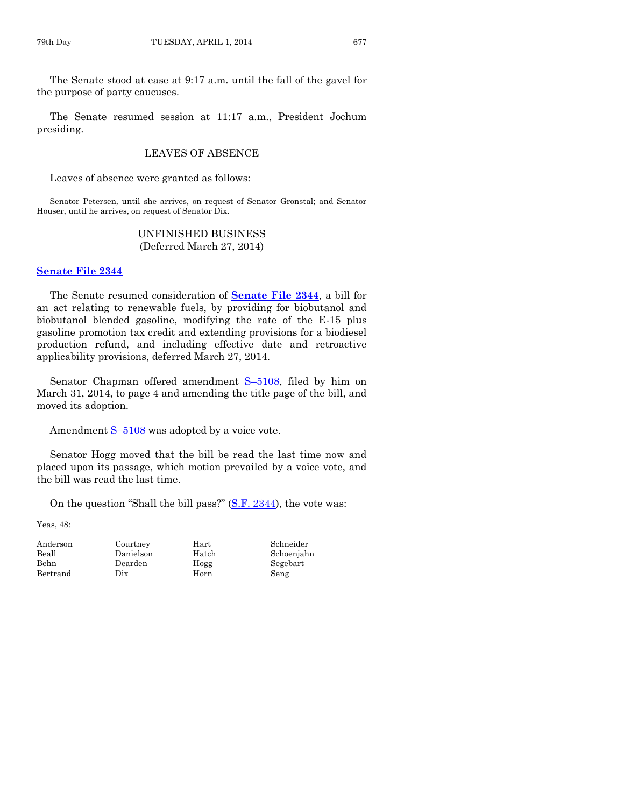The Senate stood at ease at 9:17 a.m. until the fall of the gavel for the purpose of party caucuses.

The Senate resumed session at 11:17 a.m., President Jochum presiding.

# LEAVES OF ABSENCE

Leaves of absence were granted as follows:

Senator Petersen, until she arrives, on request of Senator Gronstal; and Senator Houser, until he arrives, on request of Senator Dix.

#### UNFINISHED BUSINESS (Deferred March 27, 2014)

#### **[Senate File 2344](http://coolice.legis.iowa.gov/Cool-ICE/default.asp?Category=billinfo&Service=Billbook&frame=1&GA=85&hbill=SF2344)**

The Senate resumed consideration of **[Senate File 2344](http://coolice.legis.iowa.gov/Cool-ICE/default.asp?Category=billinfo&Service=Billbook&frame=1&GA=85&hbill=SF2344)**, a bill for an act relating to renewable fuels, by providing for biobutanol and biobutanol blended gasoline, modifying the rate of the E-15 plus gasoline promotion tax credit and extending provisions for a biodiesel production refund, and including effective date and retroactive applicability provisions, deferred March 27, 2014.

Senator Chapman offered amendment S-[5108,](http://coolice.legis.iowa.gov/Cool-ICE/default.asp?Category=billinfo&Service=Billbook&frame=1&GA=85&hbill=S5108) filed by him on March 31, 2014, to page 4 and amending the title page of the bill, and moved its adoption.

Amendment  $S-5108$  $S-5108$  was adopted by a voice vote.

Senator Hogg moved that the bill be read the last time now and placed upon its passage, which motion prevailed by a voice vote, and the bill was read the last time.

On the question "Shall the bill pass?" [\(S.F. 2344\)](http://coolice.legis.iowa.gov/Cool-ICE/default.asp?Category=billinfo&Service=Billbook&frame=1&GA=85&hbill=SF2344), the vote was:

Yeas, 48:

Bertrand Dix Horn Seng

Anderson Courtney Hart Schneider

Beall Danielson Hatch Schoenjahn Behn Dearden Hogg Segebart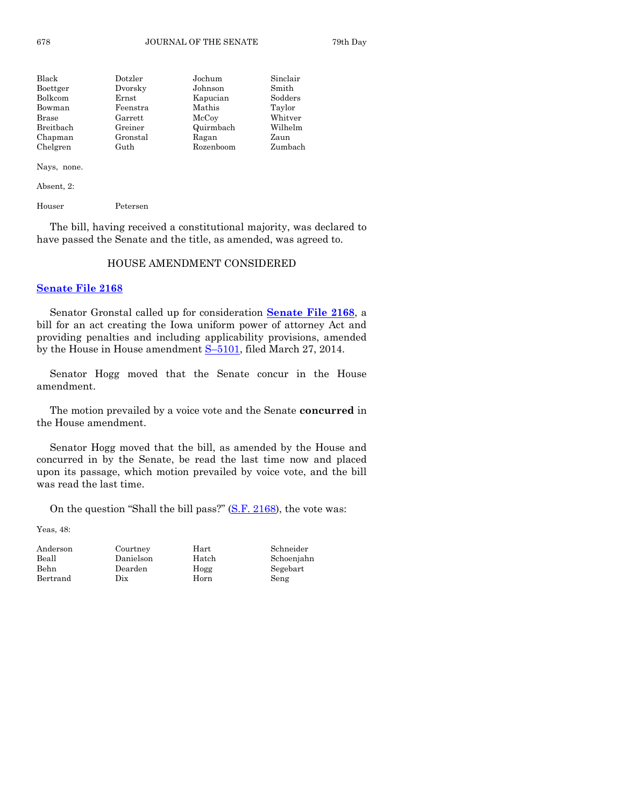| Black     | Dotzler  | Jochum    | Sinclair |
|-----------|----------|-----------|----------|
| Boettger  | Dvorsky  | Johnson   | Smith    |
| Bolkcom   | Ernst    | Kapucian  | Sodders  |
| Bowman    | Feenstra | Mathis    | Taylor   |
| Brase     | Garrett  | McCoy     | Whitver  |
| Breitbach | Greiner  | Quirmbach | Wilhelm  |
| Chapman   | Gronstal | Ragan     | Zaun     |
| Chelgren  | Guth     | Rozenboom | Zumbach  |

Nays, none.

Absent, 2:

Houser Petersen

The bill, having received a constitutional majority, was declared to have passed the Senate and the title, as amended, was agreed to.

#### HOUSE AMENDMENT CONSIDERED

#### **[Senate File 2168](http://coolice.legis.iowa.gov/Cool-ICE/default.asp?Category=billinfo&Service=Billbook&frame=1&GA=85&hbill=SF2168)**

Senator Gronstal called up for consideration **[Senate File 2168](http://coolice.legis.iowa.gov/Cool-ICE/default.asp?Category=billinfo&Service=Billbook&frame=1&GA=85&hbill=SF2168)**, a bill for an act creating the Iowa uniform power of attorney Act and providing penalties and including applicability provisions, amended by the House in House amendment  $S-5101$ , filed March 27, 2014.

Senator Hogg moved that the Senate concur in the House amendment.

The motion prevailed by a voice vote and the Senate **concurred** in the House amendment.

Senator Hogg moved that the bill, as amended by the House and concurred in by the Senate, be read the last time now and placed upon its passage, which motion prevailed by voice vote, and the bill was read the last time.

On the question "Shall the bill pass?" [\(S.F. 2168\)](http://coolice.legis.iowa.gov/Cool-ICE/default.asp?Category=billinfo&Service=Billbook&frame=1&GA=85&hbill=SF2168), the vote was:

Yeas, 48:

| Anderson | Courtney  | Hart  | Schn |
|----------|-----------|-------|------|
| Beall    | Danielson | Hatch | Scho |
| Behn     | Dearden   | Hogg  | Sege |
| Bertrand | Dix       | Horn  | Seng |

Courtney Hart Schneider

Danielson Hatch Schoenjahn Dearden Hogg Segebart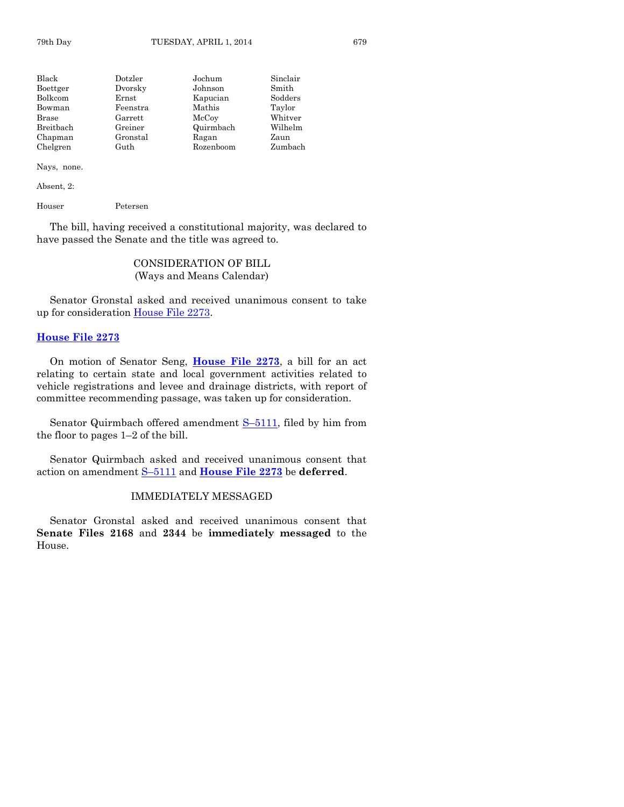| Black        | Dotzler  | Jochum    | Sinclair |
|--------------|----------|-----------|----------|
| Boettger     | Dvorsky  | Johnson   | Smith    |
| Bolkcom      | Ernst    | Kapucian  | Sodders  |
| Bowman       | Feenstra | Mathis    | Taylor   |
| <b>Brase</b> | Garrett  | McCoy     | Whitver  |
| Breitbach    | Greiner  | Quirmbach | Wilhelm  |
| Chapman      | Gronstal | Ragan     | Zaun     |
| Chelgren     | Guth     | Rozenboom | Zumbach  |

#### Nays, none.

Absent, 2:

Houser Petersen

The bill, having received a constitutional majority, was declared to have passed the Senate and the title was agreed to.

# CONSIDERATION OF BILL (Ways and Means Calendar)

Senator Gronstal asked and received unanimous consent to take up for consideration [House File 2273.](http://coolice.legis.iowa.gov/Cool-ICE/default.asp?Category=billinfo&Service=Billbook&frame=1&GA=85&hbill=HF2273)

#### **[House File 2273](http://coolice.legis.iowa.gov/Cool-ICE/default.asp?Category=billinfo&Service=Billbook&frame=1&GA=85&hbill=HF2273)**

On motion of Senator Seng, **[House File 2273](http://coolice.legis.iowa.gov/Cool-ICE/default.asp?Category=billinfo&Service=Billbook&frame=1&GA=85&hbill=HF2273)**, a bill for an act relating to certain state and local government activities related to vehicle registrations and levee and drainage districts, with report of committee recommending passage, was taken up for consideration.

Senator Quirmbach offered amendment S–[5111,](http://coolice.legis.iowa.gov/Cool-ICE/default.asp?Category=billinfo&Service=Billbook&frame=1&GA=85&hbill=S5111) filed by him from the floor to pages 1–2 of the bill.

Senator Quirmbach asked and received unanimous consent that action on amendment S–[5111](http://coolice.legis.iowa.gov/Cool-ICE/default.asp?Category=billinfo&Service=Billbook&frame=1&GA=85&hbill=S5111) and **[House File 2273](http://coolice.legis.iowa.gov/Cool-ICE/default.asp?Category=billinfo&Service=Billbook&frame=1&GA=85&hbill=HF2273)** be **deferred**.

#### IMMEDIATELY MESSAGED

Senator Gronstal asked and received unanimous consent that **Senate Files 2168** and **2344** be **immediately messaged** to the House.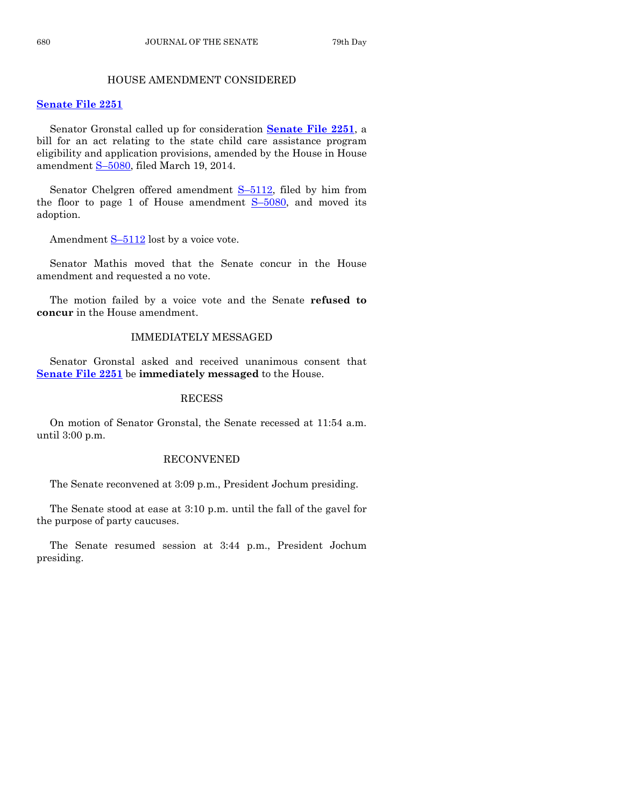# HOUSE AMENDMENT CONSIDERED

#### **[Senate File 2251](http://coolice.legis.iowa.gov/Cool-ICE/default.asp?Category=billinfo&Service=Billbook&frame=1&GA=85&hbill=SF2251)**

Senator Gronstal called up for consideration **[Senate File 2251](http://coolice.legis.iowa.gov/Cool-ICE/default.asp?Category=billinfo&Service=Billbook&frame=1&GA=85&hbill=SF2251)**, a bill for an act relating to the state child care assistance program eligibility and application provisions, amended by the House in House amendment S–[5080,](http://coolice.legis.iowa.gov/Cool-ICE/default.asp?Category=billinfo&Service=Billbook&frame=1&GA=85&hbill=S5080) filed March 19, 2014.

Senator Chelgren offered amendment S–[5112,](http://coolice.legis.iowa.gov/Cool-ICE/default.asp?Category=billinfo&Service=Billbook&frame=1&GA=85&hbill=S5112) filed by him from the floor to page 1 of House amendment  $S-5080$ , and moved its adoption.

Amendment  $S-5112$  $S-5112$  lost by a voice vote.

Senator Mathis moved that the Senate concur in the House amendment and requested a no vote.

The motion failed by a voice vote and the Senate **refused to concur** in the House amendment.

# IMMEDIATELY MESSAGED

Senator Gronstal asked and received unanimous consent that **[Senate File 2251](http://coolice.legis.iowa.gov/Cool-ICE/default.asp?Category=billinfo&Service=Billbook&frame=1&GA=85&hbill=SF2251)** be **immediately messaged** to the House.

#### RECESS

On motion of Senator Gronstal, the Senate recessed at 11:54 a.m. until 3:00 p.m.

#### RECONVENED

The Senate reconvened at 3:09 p.m., President Jochum presiding.

The Senate stood at ease at 3:10 p.m. until the fall of the gavel for the purpose of party caucuses.

The Senate resumed session at 3:44 p.m., President Jochum presiding.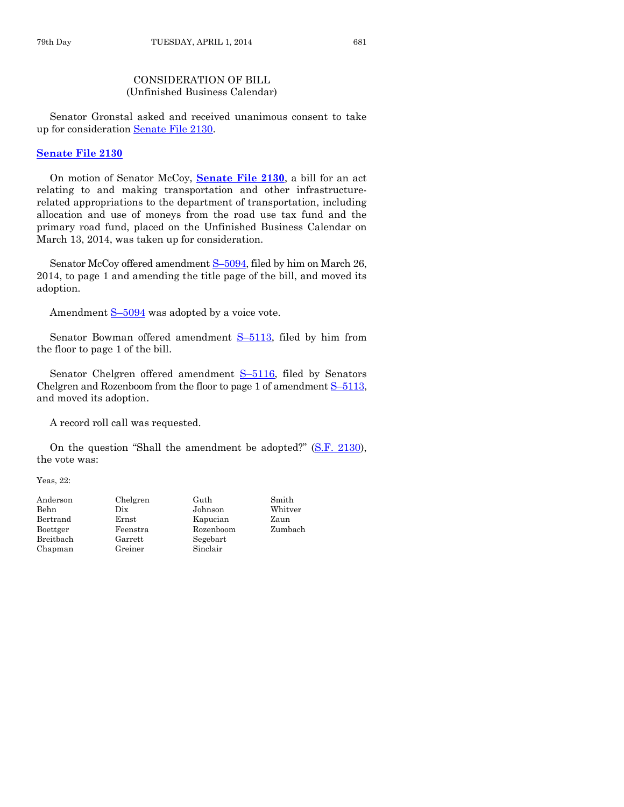# CONSIDERATION OF BILL (Unfinished Business Calendar)

Senator Gronstal asked and received unanimous consent to take up for consideration [Senate File 2130.](http://coolice.legis.iowa.gov/Cool-ICE/default.asp?Category=billinfo&Service=Billbook&frame=1&GA=85&hbill=SF2130)

#### **[Senate File 2130](http://coolice.legis.iowa.gov/Cool-ICE/default.asp?Category=billinfo&Service=Billbook&frame=1&GA=85&hbill=SF2130)**

On motion of Senator McCoy, **[Senate File 2130](http://coolice.legis.iowa.gov/Cool-ICE/default.asp?Category=billinfo&Service=Billbook&frame=1&GA=85&hbill=SF2130)**, a bill for an act relating to and making transportation and other infrastructurerelated appropriations to the department of transportation, including allocation and use of moneys from the road use tax fund and the primary road fund, placed on the Unfinished Business Calendar on March 13, 2014, was taken up for consideration.

Senator McCoy offered amendment S-[5094,](http://coolice.legis.iowa.gov/Cool-ICE/default.asp?Category=billinfo&Service=Billbook&frame=1&GA=85&hbill=S5094) filed by him on March 26, 2014, to page 1 and amending the title page of the bill, and moved its adoption.

Amendment  $S-5094$  $S-5094$  was adopted by a voice vote.

Senator Bowman offered amendment S-[5113,](http://coolice.legis.iowa.gov/Cool-ICE/default.asp?Category=billinfo&Service=Billbook&frame=1&GA=85&hbill=S5113) filed by him from the floor to page 1 of the bill.

Senator Chelgren offered amendment S-[5116,](http://coolice.legis.iowa.gov/Cool-ICE/default.asp?Category=billinfo&Service=Billbook&frame=1&GA=85&hbill=S5116) filed by Senators Chelgren and Rozenboom from the floor to page 1 of amendment  $S-5113$ , and moved its adoption.

A record roll call was requested.

On the question "Shall the amendment be adopted?" [\(S.F. 2130\)](http://coolice.legis.iowa.gov/Cool-ICE/default.asp?Category=billinfo&Service=Billbook&frame=1&GA=85&hbill=SF2130), the vote was:

Yeas, 22:

| Anderson  |
|-----------|
| Behn      |
| Bertrand  |
| Boettger  |
| Breitbach |
| Chapman   |

Chelgren Guth Smith Dix Johnson Whitver Ernst Kapucian Zaun  $\begin{tabular}{ll} Feenstra & Rozenboom & Zumbach \\ Garrett & Seebart & \end{tabular}$ Segebart Greiner Sinclair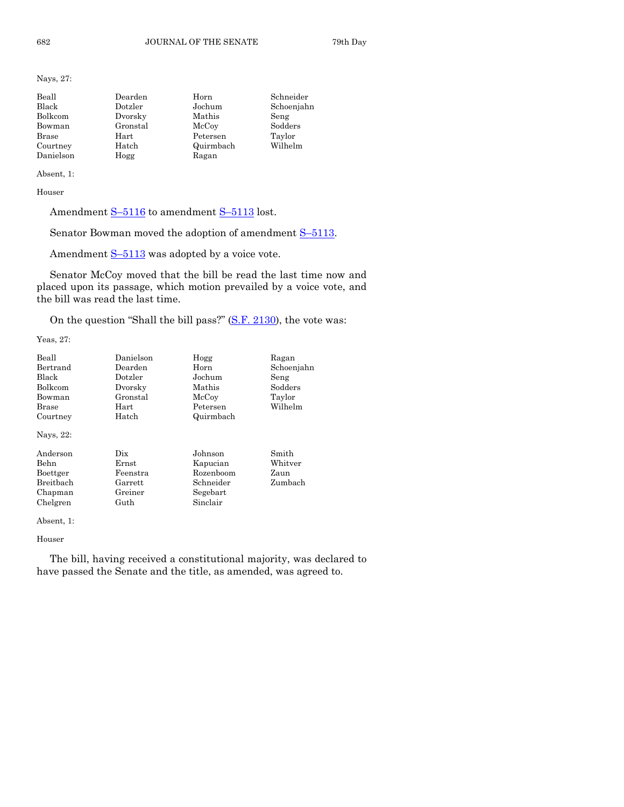Nays, 27:

| Beall     | Dearden  | Horn      | Schneider  |
|-----------|----------|-----------|------------|
| Black     | Dotzler  | Jochum    | Schoenjahn |
| Bolkcom   | Dvorsky  | Mathis    | Seng       |
| Bowman    | Gronstal | McCoy     | Sodders    |
| Brase     | Hart     | Petersen  | Taylor     |
| Courtney  | Hatch    | Quirmbach | Wilhelm    |
| Danielson | Hogg     | Ragan     |            |

Absent, 1:

Houser

Amendment S-[5116](http://coolice.legis.iowa.gov/Cool-ICE/default.asp?Category=billinfo&Service=Billbook&frame=1&GA=85&hbill=S5116) to amendment S-[5113](http://coolice.legis.iowa.gov/Cool-ICE/default.asp?Category=billinfo&Service=Billbook&frame=1&GA=85&hbill=S5113) lost.

Senator Bowman moved the adoption of amendment S–[5113.](http://coolice.legis.iowa.gov/Cool-ICE/default.asp?Category=billinfo&Service=Billbook&frame=1&GA=85&hbill=S5113)

Amendment  $S-5113$  $S-5113$  was adopted by a voice vote.

Senator McCoy moved that the bill be read the last time now and placed upon its passage, which motion prevailed by a voice vote, and the bill was read the last time.

On the question "Shall the bill pass?" [\(S.F. 2130\)](http://coolice.legis.iowa.gov/Cool-ICE/default.asp?Category=billinfo&Service=Billbook&frame=1&GA=85&hbill=SF2130), the vote was:

Yeas, 27:

| Beall<br>Bertrand<br><b>Black</b><br><b>Bolkcom</b><br>Bowman<br>Brase<br>Courtney<br>Nays, 22: | Danielson<br>Dearden<br>Dotzler<br>Dvorsky<br>Gronstal<br>Hart<br>Hatch | Hogg<br>Horn<br>Jochum<br>Mathis<br>McCoy<br>Petersen<br>Quirmbach    | Ragan<br>Schoenjahn<br>Seng<br>Sodders<br>Taylor<br>Wilhelm |
|-------------------------------------------------------------------------------------------------|-------------------------------------------------------------------------|-----------------------------------------------------------------------|-------------------------------------------------------------|
| Anderson<br>Behn<br>Boettger<br><b>Breithach</b><br>Chapman<br>Chelgren                         | Dix<br>Ernst<br>Feenstra<br>Garrett<br>Greiner<br>Guth                  | Johnson<br>Kapucian<br>Rozenboom<br>Schneider<br>Segebart<br>Sinclair | Smith<br>Whitver<br>Zaun<br>Zumbach                         |

Absent, 1:

#### Houser

The bill, having received a constitutional majority, was declared to have passed the Senate and the title, as amended, was agreed to.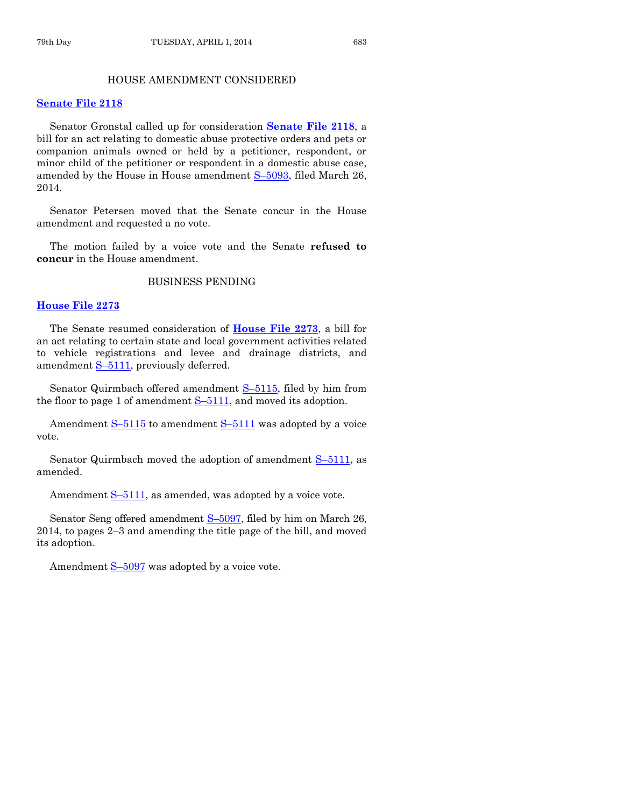#### HOUSE AMENDMENT CONSIDERED

#### **[Senate File 2118](http://coolice.legis.iowa.gov/Cool-ICE/default.asp?Category=billinfo&Service=Billbook&frame=1&GA=85&hbill=SF2118)**

Senator Gronstal called up for consideration **[Senate File 2118](http://coolice.legis.iowa.gov/Cool-ICE/default.asp?Category=billinfo&Service=Billbook&frame=1&GA=85&hbill=SF2118)**, a bill for an act relating to domestic abuse protective orders and pets or companion animals owned or held by a petitioner, respondent, or minor child of the petitioner or respondent in a domestic abuse case, amended by the House in House amendment S–[5093,](http://coolice.legis.iowa.gov/Cool-ICE/default.asp?Category=billinfo&Service=Billbook&frame=1&GA=85&hbill=S5093) filed March 26, 2014.

Senator Petersen moved that the Senate concur in the House amendment and requested a no vote.

The motion failed by a voice vote and the Senate **refused to concur** in the House amendment.

#### BUSINESS PENDING

#### **[House File 2273](http://coolice.legis.iowa.gov/Cool-ICE/default.asp?Category=billinfo&Service=Billbook&frame=1&GA=85&hbill=HF2273)**

The Senate resumed consideration of **[House File 2273](http://coolice.legis.iowa.gov/Cool-ICE/default.asp?Category=billinfo&Service=Billbook&frame=1&GA=85&hbill=HF2273)**, a bill for an act relating to certain state and local government activities related to vehicle registrations and levee and drainage districts, and amendment S–[5111,](http://coolice.legis.iowa.gov/Cool-ICE/default.asp?Category=billinfo&Service=Billbook&frame=1&GA=85&hbill=S5111) previously deferred.

Senator Quirmbach offered amendment S–[5115,](http://coolice.legis.iowa.gov/Cool-ICE/default.asp?Category=billinfo&Service=Billbook&frame=1&GA=85&hbill=S5115) filed by him from the floor to page 1 of amendment S–[5111,](http://coolice.legis.iowa.gov/Cool-ICE/default.asp?Category=billinfo&Service=Billbook&frame=1&GA=85&hbill=S5111) and moved its adoption.

Amendment  $S-5115$  $S-5115$  to amendment  $S-5111$  $S-5111$  was adopted by a voice vote.

Senator Quirmbach moved the adoption of amendment S–[5111,](http://coolice.legis.iowa.gov/Cool-ICE/default.asp?Category=billinfo&Service=Billbook&frame=1&GA=85&hbill=S5111) as amended.

Amendment  $S-5111$ , as amended, was adopted by a voice vote.

Senator Seng offered amendment S–[5097,](http://coolice.legis.iowa.gov/Cool-ICE/default.asp?Category=billinfo&Service=Billbook&frame=1&GA=85&hbill=S5097) filed by him on March 26, 2014, to pages 2–3 and amending the title page of the bill, and moved its adoption.

Amendment  $S-5097$  $S-5097$  was adopted by a voice vote.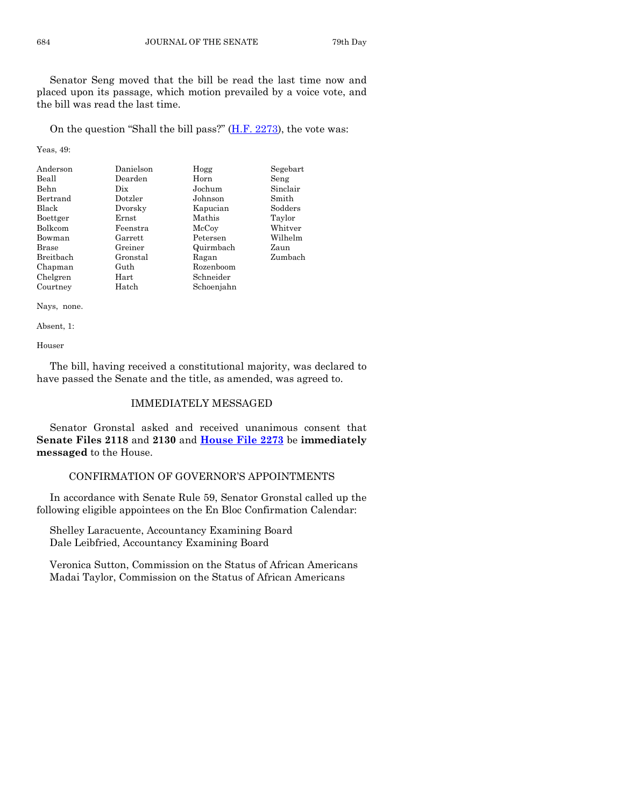Senator Seng moved that the bill be read the last time now and placed upon its passage, which motion prevailed by a voice vote, and the bill was read the last time.

On the question "Shall the bill pass?"  $(H.F. 2273)$ , the vote was:

Yeas, 49:

| Anderson     | Danielson | Hogg       | Segebart |
|--------------|-----------|------------|----------|
| Beall        | Dearden   | Horn       | Seng     |
| Behn         | Dix       | Jochum     | Sinclair |
| Bertrand     | Dotzler   | Johnson    | Smith    |
| Black        | Dvorsky   | Kapucian   | Sodders  |
| Boettger     | Ernst     | Mathis     | Taylor   |
| Bolkcom      | Feenstra  | McCoy      | Whitver  |
| Bowman       | Garrett   | Petersen   | Wilhelm  |
| <b>Brase</b> | Greiner   | Quirmbach  | Zaun     |
| Breithach    | Gronstal  | Ragan      | Zumbach  |
| Chapman      | Guth      | Rozenboom  |          |
| Chelgren     | Hart      | Schneider  |          |
| Courtney     | Hatch     | Schoenjahn |          |

Nays, none.

Absent, 1:

Houser

The bill, having received a constitutional majority, was declared to have passed the Senate and the title, as amended, was agreed to.

# IMMEDIATELY MESSAGED

Senator Gronstal asked and received unanimous consent that **Senate Files 2118** and **2130** and **[House File 2273](http://coolice.legis.iowa.gov/Cool-ICE/default.asp?Category=billinfo&Service=Billbook&frame=1&GA=85&hbill=HF2273)** be **immediately messaged** to the House.

# CONFIRMATION OF GOVERNOR'S APPOINTMENTS

In accordance with Senate Rule 59, Senator Gronstal called up the following eligible appointees on the En Bloc Confirmation Calendar:

Shelley Laracuente, Accountancy Examining Board Dale Leibfried, Accountancy Examining Board

Veronica Sutton, Commission on the Status of African Americans Madai Taylor, Commission on the Status of African Americans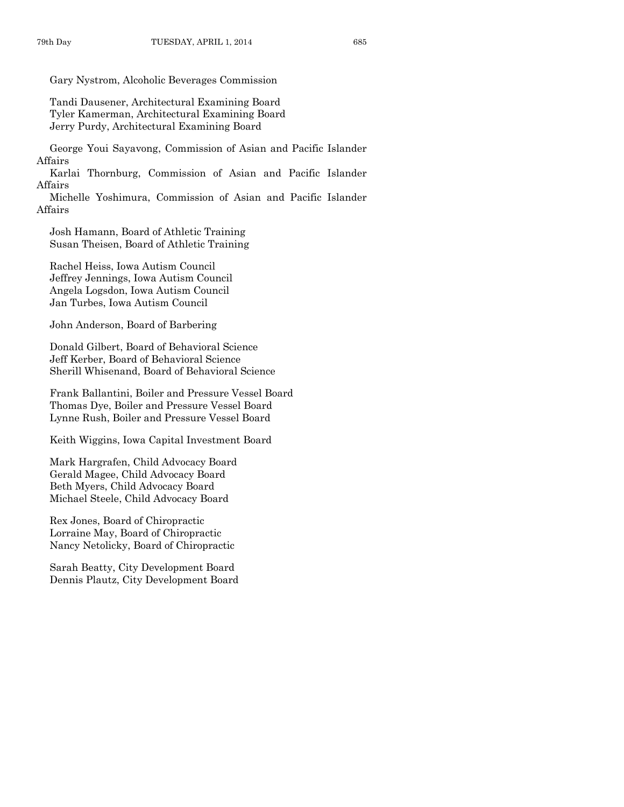Gary Nystrom, Alcoholic Beverages Commission

Tandi Dausener, Architectural Examining Board Tyler Kamerman, Architectural Examining Board Jerry Purdy, Architectural Examining Board

George Youi Sayavong, Commission of Asian and Pacific Islander Affairs

Karlai Thornburg, Commission of Asian and Pacific Islander Affairs

Michelle Yoshimura, Commission of Asian and Pacific Islander Affairs

Josh Hamann, Board of Athletic Training Susan Theisen, Board of Athletic Training

Rachel Heiss, Iowa Autism Council Jeffrey Jennings, Iowa Autism Council Angela Logsdon, Iowa Autism Council Jan Turbes, Iowa Autism Council

John Anderson, Board of Barbering

Donald Gilbert, Board of Behavioral Science Jeff Kerber, Board of Behavioral Science Sherill Whisenand, Board of Behavioral Science

Frank Ballantini, Boiler and Pressure Vessel Board Thomas Dye, Boiler and Pressure Vessel Board Lynne Rush, Boiler and Pressure Vessel Board

Keith Wiggins, Iowa Capital Investment Board

Mark Hargrafen, Child Advocacy Board Gerald Magee, Child Advocacy Board Beth Myers, Child Advocacy Board Michael Steele, Child Advocacy Board

Rex Jones, Board of Chiropractic Lorraine May, Board of Chiropractic Nancy Netolicky, Board of Chiropractic

Sarah Beatty, City Development Board Dennis Plautz, City Development Board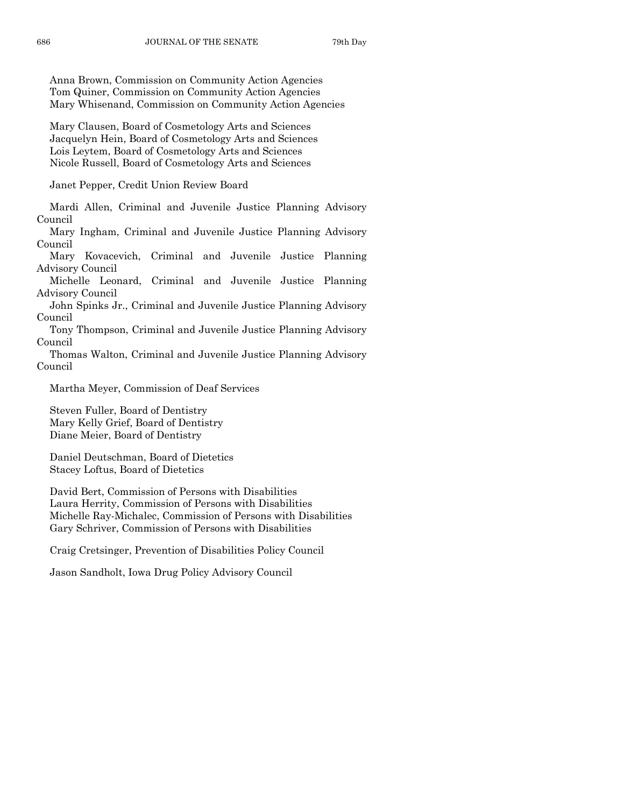Anna Brown, Commission on Community Action Agencies Tom Quiner, Commission on Community Action Agencies Mary Whisenand, Commission on Community Action Agencies

Mary Clausen, Board of Cosmetology Arts and Sciences Jacquelyn Hein, Board of Cosmetology Arts and Sciences Lois Leytem, Board of Cosmetology Arts and Sciences Nicole Russell, Board of Cosmetology Arts and Sciences

Janet Pepper, Credit Union Review Board

Mardi Allen, Criminal and Juvenile Justice Planning Advisory Council

Mary Ingham, Criminal and Juvenile Justice Planning Advisory Council

Mary Kovacevich, Criminal and Juvenile Justice Planning Advisory Council

Michelle Leonard, Criminal and Juvenile Justice Planning Advisory Council

John Spinks Jr., Criminal and Juvenile Justice Planning Advisory Council

Tony Thompson, Criminal and Juvenile Justice Planning Advisory Council

Thomas Walton, Criminal and Juvenile Justice Planning Advisory Council

Martha Meyer, Commission of Deaf Services

Steven Fuller, Board of Dentistry Mary Kelly Grief, Board of Dentistry Diane Meier, Board of Dentistry

Daniel Deutschman, Board of Dietetics Stacey Loftus, Board of Dietetics

David Bert, Commission of Persons with Disabilities Laura Herrity, Commission of Persons with Disabilities Michelle Ray-Michalec, Commission of Persons with Disabilities Gary Schriver, Commission of Persons with Disabilities

Craig Cretsinger, Prevention of Disabilities Policy Council

Jason Sandholt, Iowa Drug Policy Advisory Council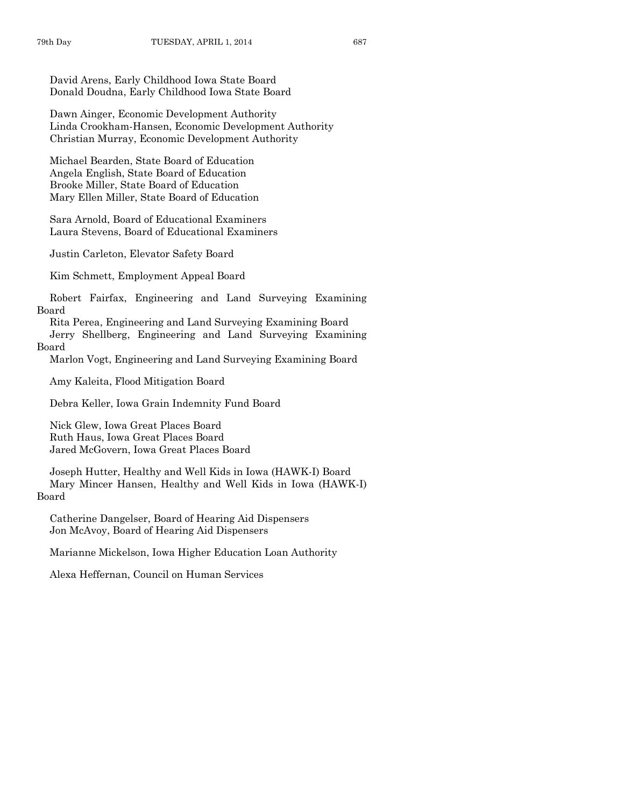David Arens, Early Childhood Iowa State Board Donald Doudna, Early Childhood Iowa State Board

Dawn Ainger, Economic Development Authority Linda Crookham-Hansen, Economic Development Authority Christian Murray, Economic Development Authority

Michael Bearden, State Board of Education Angela English, State Board of Education Brooke Miller, State Board of Education Mary Ellen Miller, State Board of Education

Sara Arnold, Board of Educational Examiners Laura Stevens, Board of Educational Examiners

Justin Carleton, Elevator Safety Board

Kim Schmett, Employment Appeal Board

Robert Fairfax, Engineering and Land Surveying Examining Board

Rita Perea, Engineering and Land Surveying Examining Board

Jerry Shellberg, Engineering and Land Surveying Examining Board

Marlon Vogt, Engineering and Land Surveying Examining Board

Amy Kaleita, Flood Mitigation Board

Debra Keller, Iowa Grain Indemnity Fund Board

Nick Glew, Iowa Great Places Board Ruth Haus, Iowa Great Places Board Jared McGovern, Iowa Great Places Board

Joseph Hutter, Healthy and Well Kids in Iowa (HAWK-I) Board Mary Mincer Hansen, Healthy and Well Kids in Iowa (HAWK-I) Board

Catherine Dangelser, Board of Hearing Aid Dispensers Jon McAvoy, Board of Hearing Aid Dispensers

Marianne Mickelson, Iowa Higher Education Loan Authority

Alexa Heffernan, Council on Human Services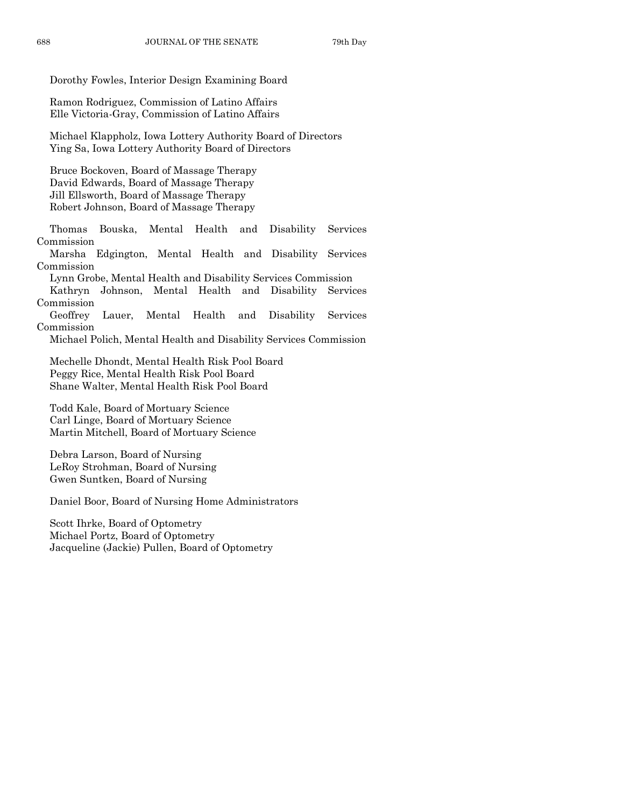Dorothy Fowles, Interior Design Examining Board

Ramon Rodriguez, Commission of Latino Affairs Elle Victoria-Gray, Commission of Latino Affairs

Michael Klappholz, Iowa Lottery Authority Board of Directors Ying Sa, Iowa Lottery Authority Board of Directors

Bruce Bockoven, Board of Massage Therapy David Edwards, Board of Massage Therapy Jill Ellsworth, Board of Massage Therapy Robert Johnson, Board of Massage Therapy

Thomas Bouska, Mental Health and Disability Services Commission

Marsha Edgington, Mental Health and Disability Services Commission

Lynn Grobe, Mental Health and Disability Services Commission

Kathryn Johnson, Mental Health and Disability Services Commission

Geoffrey Lauer, Mental Health and Disability Services Commission

Michael Polich, Mental Health and Disability Services Commission

Mechelle Dhondt, Mental Health Risk Pool Board Peggy Rice, Mental Health Risk Pool Board Shane Walter, Mental Health Risk Pool Board

Todd Kale, Board of Mortuary Science Carl Linge, Board of Mortuary Science Martin Mitchell, Board of Mortuary Science

Debra Larson, Board of Nursing LeRoy Strohman, Board of Nursing Gwen Suntken, Board of Nursing

Daniel Boor, Board of Nursing Home Administrators

Scott Ihrke, Board of Optometry Michael Portz, Board of Optometry Jacqueline (Jackie) Pullen, Board of Optometry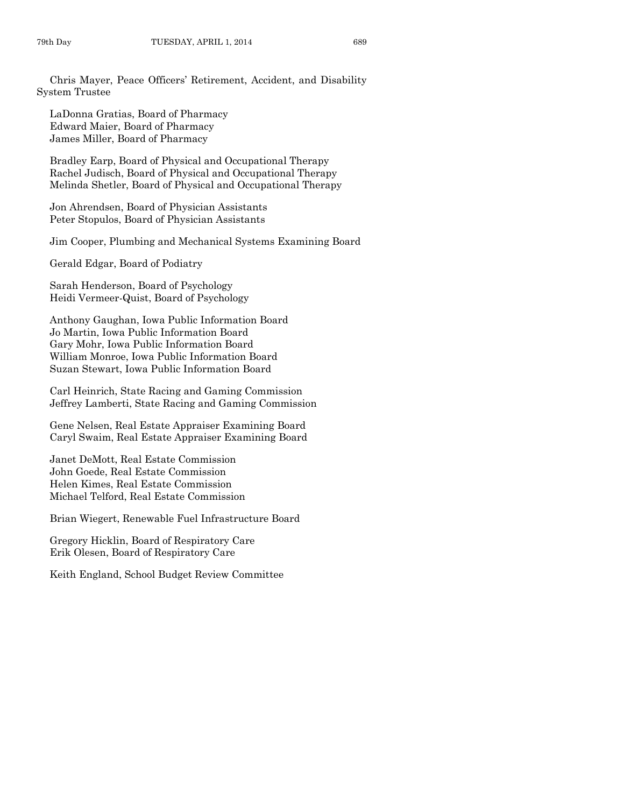Chris Mayer, Peace Officers' Retirement, Accident, and Disability System Trustee

LaDonna Gratias, Board of Pharmacy Edward Maier, Board of Pharmacy James Miller, Board of Pharmacy

Bradley Earp, Board of Physical and Occupational Therapy Rachel Judisch, Board of Physical and Occupational Therapy Melinda Shetler, Board of Physical and Occupational Therapy

Jon Ahrendsen, Board of Physician Assistants Peter Stopulos, Board of Physician Assistants

Jim Cooper, Plumbing and Mechanical Systems Examining Board

Gerald Edgar, Board of Podiatry

Sarah Henderson, Board of Psychology Heidi Vermeer-Quist, Board of Psychology

Anthony Gaughan, Iowa Public Information Board Jo Martin, Iowa Public Information Board Gary Mohr, Iowa Public Information Board William Monroe, Iowa Public Information Board Suzan Stewart, Iowa Public Information Board

Carl Heinrich, State Racing and Gaming Commission Jeffrey Lamberti, State Racing and Gaming Commission

Gene Nelsen, Real Estate Appraiser Examining Board Caryl Swaim, Real Estate Appraiser Examining Board

Janet DeMott, Real Estate Commission John Goede, Real Estate Commission Helen Kimes, Real Estate Commission Michael Telford, Real Estate Commission

Brian Wiegert, Renewable Fuel Infrastructure Board

Gregory Hicklin, Board of Respiratory Care Erik Olesen, Board of Respiratory Care

Keith England, School Budget Review Committee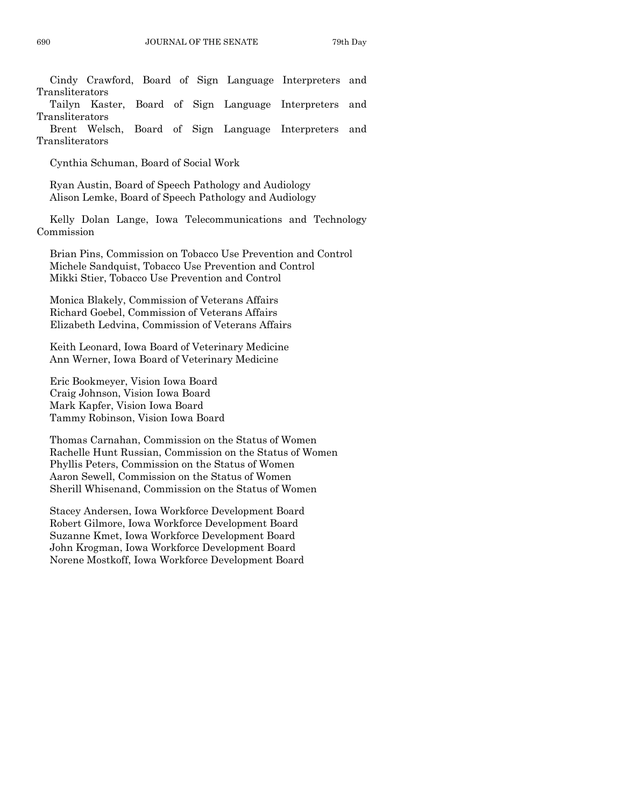Cindy Crawford, Board of Sign Language Interpreters and Transliterators

Tailyn Kaster, Board of Sign Language Interpreters and Transliterators

Brent Welsch, Board of Sign Language Interpreters and Transliterators

Cynthia Schuman, Board of Social Work

Ryan Austin, Board of Speech Pathology and Audiology Alison Lemke, Board of Speech Pathology and Audiology

Kelly Dolan Lange, Iowa Telecommunications and Technology Commission

Brian Pins, Commission on Tobacco Use Prevention and Control Michele Sandquist, Tobacco Use Prevention and Control Mikki Stier, Tobacco Use Prevention and Control

Monica Blakely, Commission of Veterans Affairs Richard Goebel, Commission of Veterans Affairs Elizabeth Ledvina, Commission of Veterans Affairs

Keith Leonard, Iowa Board of Veterinary Medicine Ann Werner, Iowa Board of Veterinary Medicine

Eric Bookmeyer, Vision Iowa Board Craig Johnson, Vision Iowa Board Mark Kapfer, Vision Iowa Board Tammy Robinson, Vision Iowa Board

Thomas Carnahan, Commission on the Status of Women Rachelle Hunt Russian, Commission on the Status of Women Phyllis Peters, Commission on the Status of Women Aaron Sewell, Commission on the Status of Women Sherill Whisenand, Commission on the Status of Women

Stacey Andersen, Iowa Workforce Development Board Robert Gilmore, Iowa Workforce Development Board Suzanne Kmet, Iowa Workforce Development Board John Krogman, Iowa Workforce Development Board Norene Mostkoff, Iowa Workforce Development Board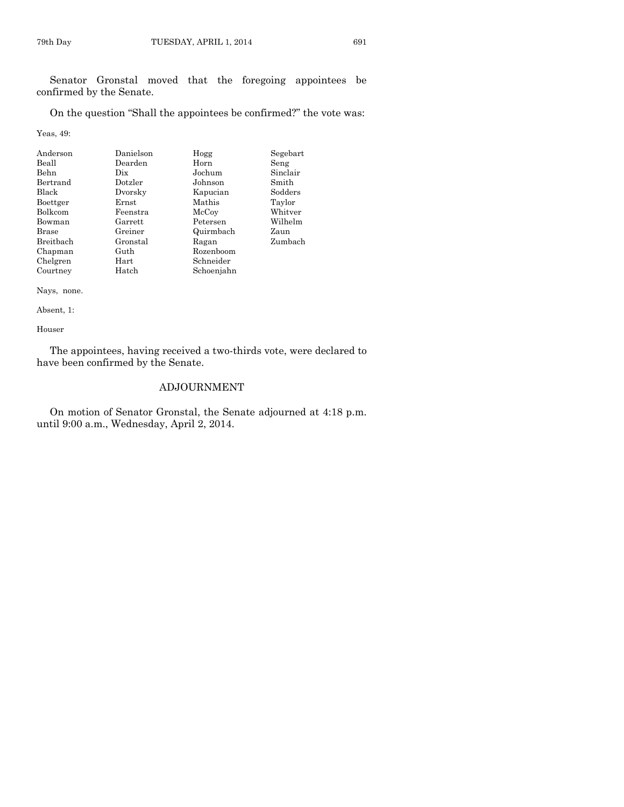Senator Gronstal moved that the foregoing appointees be confirmed by the Senate.

On the question "Shall the appointees be confirmed?" the vote was:

Yeas, 49:

| Anderson     | Danielson | Hogg       | Segebart |
|--------------|-----------|------------|----------|
| Beall        | Dearden   | Horn       | Seng     |
| Behn         | Dix       | Jochum     | Sinclair |
| Bertrand     | Dotzler   | Johnson    | Smith    |
| Black        | Dvorsky   | Kapucian   | Sodders  |
| Boettger     | Ernst     | Mathis     | Taylor   |
| Bolkcom      | Feenstra  | McCoy      | Whitver  |
| Bowman       | Garrett   | Petersen   | Wilhelm  |
| <b>Brase</b> | Greiner   | Quirmbach  | Zaun     |
| Breitbach    | Gronstal  | Ragan      | Zumbach  |
| Chapman      | Guth      | Rozenboom  |          |
| Chelgren     | Hart      | Schneider  |          |
| Courtney     | Hatch     | Schoenjahn |          |

Nays, none.

Absent, 1:

Houser

The appointees, having received a two-thirds vote, were declared to have been confirmed by the Senate.

# ADJOURNMENT

On motion of Senator Gronstal, the Senate adjourned at 4:18 p.m. until 9:00 a.m., Wednesday, April 2, 2014.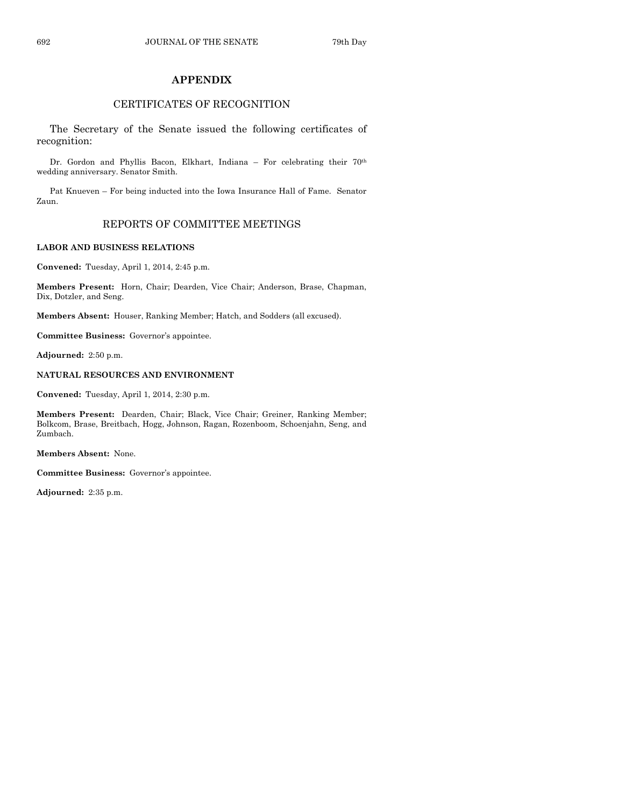# **APPENDIX**

# CERTIFICATES OF RECOGNITION

The Secretary of the Senate issued the following certificates of recognition:

Dr. Gordon and Phyllis Bacon, Elkhart, Indiana – For celebrating their 70th wedding anniversary. Senator Smith.

Pat Knueven – For being inducted into the Iowa Insurance Hall of Fame. Senator Zaun.

# REPORTS OF COMMITTEE MEETINGS

#### **LABOR AND BUSINESS RELATIONS**

**Convened:** Tuesday, April 1, 2014, 2:45 p.m.

**Members Present:** Horn, Chair; Dearden, Vice Chair; Anderson, Brase, Chapman, Dix, Dotzler, and Seng.

**Members Absent:** Houser, Ranking Member; Hatch, and Sodders (all excused).

**Committee Business:** Governor's appointee.

**Adjourned:** 2:50 p.m.

#### **NATURAL RESOURCES AND ENVIRONMENT**

**Convened:** Tuesday, April 1, 2014, 2:30 p.m.

**Members Present:** Dearden, Chair; Black, Vice Chair; Greiner, Ranking Member; Bolkcom, Brase, Breitbach, Hogg, Johnson, Ragan, Rozenboom, Schoenjahn, Seng, and Zumbach.

**Members Absent:** None.

**Committee Business:** Governor's appointee.

**Adjourned:** 2:35 p.m.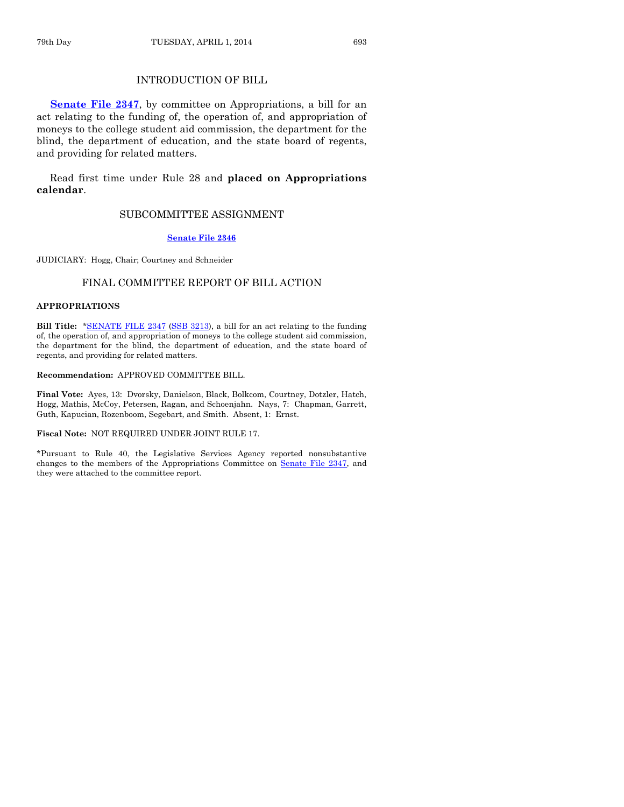# INTRODUCTION OF BILL

**[Senate File 2347](http://coolice.legis.iowa.gov/Cool-ICE/default.asp?Category=billinfo&Service=Billbook&frame=1&GA=85&hbill=SF2347)**, by committee on Appropriations, a bill for an act relating to the funding of, the operation of, and appropriation of moneys to the college student aid commission, the department for the blind, the department of education, and the state board of regents, and providing for related matters.

Read first time under Rule 28 and **placed on Appropriations calendar**.

#### SUBCOMMITTEE ASSIGNMENT

#### **[Senate File 2346](http://coolice.legis.iowa.gov/Cool-ICE/default.asp?Category=billinfo&Service=Billbook&frame=1&GA=85&hbill=SF2346)**

JUDICIARY: Hogg, Chair; Courtney and Schneider

#### FINAL COMMITTEE REPORT OF BILL ACTION

#### **APPROPRIATIONS**

**Bill Title:** [\\*SENATE FILE 2347](http://coolice.legis.iowa.gov/Cool-ICE/default.asp?Category=billinfo&Service=Billbook&frame=1&GA=85&hbill=SF2347) [\(SSB 3213\)](http://coolice.legis.iowa.gov/Cool-ICE/default.asp?Category=billinfo&Service=Billbook&frame=1&GA=85&hbill=SSB3213), a bill for an act relating to the funding of, the operation of, and appropriation of moneys to the college student aid commission, the department for the blind, the department of education, and the state board of regents, and providing for related matters.

#### **Recommendation:** APPROVED COMMITTEE BILL.

**Final Vote:** Ayes, 13: Dvorsky, Danielson, Black, Bolkcom, Courtney, Dotzler, Hatch, Hogg, Mathis, McCoy, Petersen, Ragan, and Schoenjahn. Nays, 7: Chapman, Garrett, Guth, Kapucian, Rozenboom, Segebart, and Smith. Absent, 1: Ernst.

#### **Fiscal Note:** NOT REQUIRED UNDER JOINT RULE 17.

\*Pursuant to Rule 40, the Legislative Services Agency reported nonsubstantive changes to the members of the Appropriations Committee on Senate [File 2347,](http://coolice.legis.iowa.gov/Cool-ICE/default.asp?Category=billinfo&Service=Billbook&frame=1&GA=85&hbill=SF2347) and they were attached to the committee report.